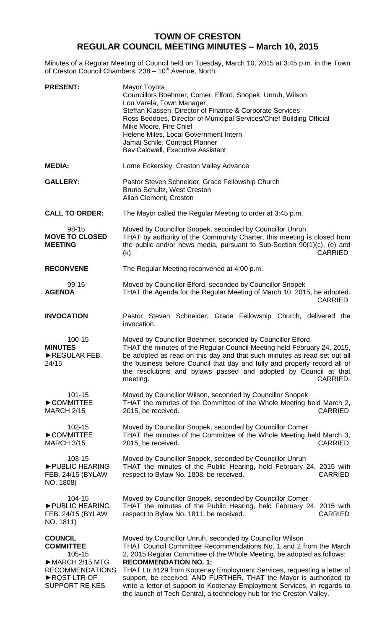## **TOWN OF CRESTON REGULAR COUNCIL MEETING MINUTES – March 10, 2015**

Minutes of a Regular Meeting of Council held on Tuesday, March 10, 2015 at 3:45 p.m. in the Town of Creston Council Chambers, 238 - 10<sup>th</sup> Avenue, North.

| <b>PRESENT:</b>                                                                                                                                   | Mayor Toyota<br>Councillors Boehmer, Comer, Elford, Snopek, Unruh, Wilson<br>Lou Varela, Town Manager<br>Steffan Klassen, Director of Finance & Corporate Services<br>Ross Beddoes, Director of Municipal Services/Chief Building Official<br>Mike Moore, Fire Chief<br>Helene Miles, Local Government Intern<br>Jamai Schile, Contract Planner<br>Bev Caldwell, Executive Assistant                                                                                                                                                         |
|---------------------------------------------------------------------------------------------------------------------------------------------------|----------------------------------------------------------------------------------------------------------------------------------------------------------------------------------------------------------------------------------------------------------------------------------------------------------------------------------------------------------------------------------------------------------------------------------------------------------------------------------------------------------------------------------------------|
| <b>MEDIA:</b>                                                                                                                                     | Lorne Eckersley, Creston Valley Advance                                                                                                                                                                                                                                                                                                                                                                                                                                                                                                      |
| <b>GALLERY:</b>                                                                                                                                   | Pastor Steven Schneider, Grace Fellowship Church<br>Bruno Schultz, West Creston<br>Allan Clement, Creston                                                                                                                                                                                                                                                                                                                                                                                                                                    |
| <b>CALL TO ORDER:</b>                                                                                                                             | The Mayor called the Regular Meeting to order at 3:45 p.m.                                                                                                                                                                                                                                                                                                                                                                                                                                                                                   |
| 98-15<br><b>MOVE TO CLOSED</b><br><b>MEETING</b>                                                                                                  | Moved by Councillor Snopek, seconded by Councillor Unruh<br>THAT by authority of the Community Charter, this meeting is closed from<br>the public and/or news media, pursuant to Sub-Section 90(1)(c), (e) and<br>(k).<br><b>CARRIED</b>                                                                                                                                                                                                                                                                                                     |
| <b>RECONVENE</b>                                                                                                                                  | The Regular Meeting reconvened at 4:00 p.m.                                                                                                                                                                                                                                                                                                                                                                                                                                                                                                  |
| 99-15<br><b>AGENDA</b>                                                                                                                            | Moved by Councillor Elford, seconded by Councillor Snopek<br>THAT the Agenda for the Regular Meeting of March 10, 2015, be adopted.<br><b>CARRIED</b>                                                                                                                                                                                                                                                                                                                                                                                        |
| <b>INVOCATION</b>                                                                                                                                 | Pastor Steven Schneider, Grace Fellowship Church, delivered the<br>invocation.                                                                                                                                                                                                                                                                                                                                                                                                                                                               |
| 100-15<br><b>MINUTES</b><br>REGULAR FEB.<br>24/15                                                                                                 | Moved by Councillor Boehmer, seconded by Councillor Elford<br>THAT the minutes of the Regular Council Meeting held February 24, 2015,<br>be adopted as read on this day and that such minutes as read set out all<br>the business before Council that day and fully and properly record all of<br>the resolutions and bylaws passed and adopted by Council at that<br><b>CARRIED</b><br>meeting.                                                                                                                                             |
| 101-15<br>COMMITTEE<br><b>MARCH 2/15</b>                                                                                                          | Moved by Councillor Wilson, seconded by Councillor Snopek<br>THAT the minutes of the Committee of the Whole Meeting held March 2,<br><b>CARRIED</b><br>2015, be received.                                                                                                                                                                                                                                                                                                                                                                    |
| 102-15<br>COMMITTEE<br><b>MARCH 3/15</b>                                                                                                          | Moved by Councillor Snopek, seconded by Councillor Comer<br>THAT the minutes of the Committee of the Whole Meeting held March 3,<br>2015, be received.<br><b>CARRIED</b>                                                                                                                                                                                                                                                                                                                                                                     |
| 103-15<br>PUBLIC HEARING<br>FEB. 24/15 (BYLAW<br>NO. 1808)                                                                                        | Moved by Councillor Snopek, seconded by Councillor Unruh<br>THAT the minutes of the Public Hearing, held February 24, 2015 with<br>respect to Bylaw No. 1808, be received.<br><b>CARRIED</b>                                                                                                                                                                                                                                                                                                                                                 |
| 104-15<br>PUBLIC HEARING<br>FEB. 24/15 (BYLAW)<br>NO. 1811)                                                                                       | Moved by Councillor Snopek, seconded by Councillor Comer<br>THAT the minutes of the Public Hearing, held February 24, 2015 with<br><b>CARRIED</b><br>respect to Bylaw No. 1811, be received.                                                                                                                                                                                                                                                                                                                                                 |
| <b>COUNCIL</b><br><b>COMMITTEE</b><br>105-15<br>$\triangleright$ MARCH 2/15 MTG<br><b>RECOMMENDATIONS</b><br>RQST LTR OF<br><b>SUPPORT RE KES</b> | Moved by Councillor Unruh, seconded by Councillor Wilson<br>THAT Council Committee Recommendations No. 1 and 2 from the March<br>2, 2015 Regular Committee of the Whole Meeting, be adopted as follows:<br><b>RECOMMENDATION NO. 1:</b><br>THAT Ltr #129 from Kootenay Employment Services, requesting a letter of<br>support, be received; AND FURTHER, THAT the Mayor is authorized to<br>write a letter of support to Kootenay Employment Services, in regards to<br>the launch of Tech Central, a technology hub for the Creston Valley. |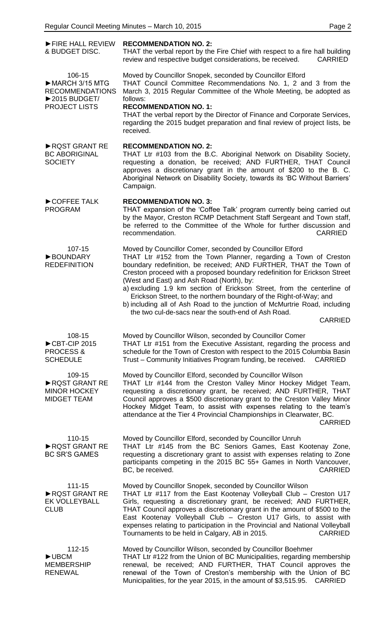| FIRE HALL REVIEW<br>& BUDGET DISC.                                                                               | <b>RECOMMENDATION NO. 2:</b><br>THAT the verbal report by the Fire Chief with respect to a fire hall building<br>review and respective budget considerations, be received.<br><b>CARRIED</b>                                                                                                                                                                                                                                                                                                                                                                                                                    |
|------------------------------------------------------------------------------------------------------------------|-----------------------------------------------------------------------------------------------------------------------------------------------------------------------------------------------------------------------------------------------------------------------------------------------------------------------------------------------------------------------------------------------------------------------------------------------------------------------------------------------------------------------------------------------------------------------------------------------------------------|
| 106-15<br>MARCH 3/15 MTG<br><b>RECOMMENDATIONS</b><br>$\blacktriangleright$ 2015 BUDGET/<br><b>PROJECT LISTS</b> | Moved by Councillor Snopek, seconded by Councillor Elford<br>THAT Council Committee Recommendations No. 1, 2 and 3 from the<br>March 3, 2015 Regular Committee of the Whole Meeting, be adopted as<br>follows:<br><b>RECOMMENDATION NO. 1:</b><br>THAT the verbal report by the Director of Finance and Corporate Services,<br>regarding the 2015 budget preparation and final review of project lists, be<br>received.                                                                                                                                                                                         |
| RQST GRANT RE<br><b>BC ABORIGINAL</b><br><b>SOCIETY</b>                                                          | <b>RECOMMENDATION NO. 2:</b><br>THAT Ltr #103 from the B.C. Aboriginal Network on Disability Society,<br>requesting a donation, be received; AND FURTHER, THAT Council<br>approves a discretionary grant in the amount of \$200 to the B. C.<br>Aboriginal Network on Disability Society, towards its 'BC Without Barriers'<br>Campaign.                                                                                                                                                                                                                                                                        |
| COFFEE TALK<br><b>PROGRAM</b>                                                                                    | <b>RECOMMENDATION NO. 3:</b><br>THAT expansion of the 'Coffee Talk' program currently being carried out<br>by the Mayor, Creston RCMP Detachment Staff Sergeant and Town staff,<br>be referred to the Committee of the Whole for further discussion and<br><b>CARRIED</b><br>recommendation.                                                                                                                                                                                                                                                                                                                    |
| 107-15<br><b>BOUNDARY</b><br><b>REDEFINITION</b>                                                                 | Moved by Councillor Comer, seconded by Councillor Elford<br>THAT Ltr #152 from the Town Planner, regarding a Town of Creston<br>boundary redefinition, be received; AND FURTHER, THAT the Town of<br>Creston proceed with a proposed boundary redefinition for Erickson Street<br>(West and East) and Ash Road (North), by:<br>a) excluding 1.9 km section of Erickson Street, from the centerline of<br>Erickson Street, to the northern boundary of the Right-of-Way; and<br>b) including all of Ash Road to the junction of McMurtrie Road, including<br>the two cul-de-sacs near the south-end of Ash Road. |
|                                                                                                                  | <b>CARRIED</b>                                                                                                                                                                                                                                                                                                                                                                                                                                                                                                                                                                                                  |
| 108-15<br>CBT-CIP 2015<br><b>PROCESS &amp;</b><br><b>SCHEDULE</b>                                                | Moved by Councillor Wilson, seconded by Councillor Comer<br>THAT Ltr #151 from the Executive Assistant, regarding the process and<br>schedule for the Town of Creston with respect to the 2015 Columbia Basin<br>Trust - Community Initiatives Program funding, be received.<br><b>CARRIED</b>                                                                                                                                                                                                                                                                                                                  |
| 109-15<br>RQST GRANT RE<br><b>MINOR HOCKEY</b><br><b>MIDGET TEAM</b>                                             | Moved by Councillor Elford, seconded by Councillor Wilson<br>THAT Ltr #144 from the Creston Valley Minor Hockey Midget Team,<br>requesting a discretionary grant, be received; AND FURTHER, THAT<br>Council approves a \$500 discretionary grant to the Creston Valley Minor<br>Hockey Midget Team, to assist with expenses relating to the team's<br>attendance at the Tier 4 Provincial Championships in Clearwater, BC.<br><b>CARRIED</b>                                                                                                                                                                    |
| 110-15<br>RQST GRANT RE<br><b>BC SR'S GAMES</b>                                                                  | Moved by Councillor Elford, seconded by Councillor Unruh<br>THAT Ltr #145 from the BC Seniors Games, East Kootenay Zone,<br>requesting a discretionary grant to assist with expenses relating to Zone<br>participants competing in the 2015 BC 55+ Games in North Vancouver,<br>BC, be received.<br><b>CARRIED</b>                                                                                                                                                                                                                                                                                              |
| 111-15<br>RQST GRANT RE<br><b>EK VOLLEYBALL</b><br><b>CLUB</b>                                                   | Moved by Councillor Snopek, seconded by Councillor Wilson<br>THAT Ltr #117 from the East Kootenay Volleyball Club - Creston U17<br>Girls, requesting a discretionary grant, be received; AND FURTHER,<br>THAT Council approves a discretionary grant in the amount of \$500 to the<br>East Kootenay Volleyball Club - Creston U17 Girls, to assist with<br>expenses relating to participation in the Provincial and National Volleyball<br><b>CARRIED</b><br>Tournaments to be held in Calgary, AB in 2015.                                                                                                     |
| 112-15<br>$\blacktriangleright$ UBCM<br><b>MEMBERSHIP</b><br><b>RENEWAL</b>                                      | Moved by Councillor Wilson, seconded by Councillor Boehmer<br>THAT Ltr #122 from the Union of BC Municipalities, regarding membership<br>renewal, be received; AND FURTHER, THAT Council approves the<br>renewal of the Town of Creston's membership with the Union of BC<br>Municipalities, for the year 2015, in the amount of \$3,515.95.<br><b>CARRIED</b>                                                                                                                                                                                                                                                  |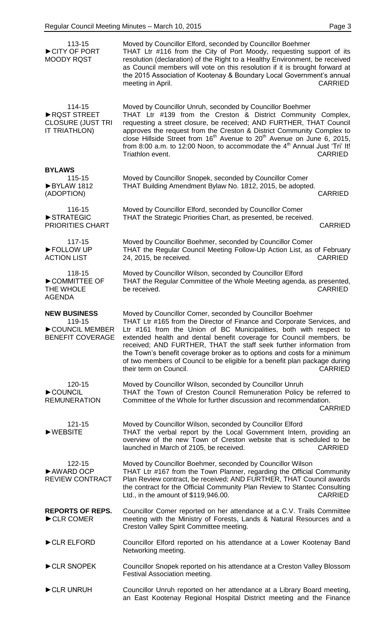| 113-15<br>CITY OF PORT<br><b>MOODY RQST</b>                                | Moved by Councillor Elford, seconded by Councillor Boehmer<br>THAT Ltr #116 from the City of Port Moody, requesting support of its<br>resolution (declaration) of the Right to a Healthy Environment, be received<br>as Council members will vote on this resolution if it is brought forward at<br>the 2015 Association of Kootenay & Boundary Local Government's annual<br>meeting in April.<br><b>CARRIED</b>                                                                                                                                              |
|----------------------------------------------------------------------------|---------------------------------------------------------------------------------------------------------------------------------------------------------------------------------------------------------------------------------------------------------------------------------------------------------------------------------------------------------------------------------------------------------------------------------------------------------------------------------------------------------------------------------------------------------------|
| 114-15<br>RQST STREET<br><b>CLOSURE (JUST TRI</b><br><b>IT TRIATHLON)</b>  | Moved by Councillor Unruh, seconded by Councillor Boehmer<br>THAT Ltr #139 from the Creston & District Community Complex,<br>requesting a street closure, be received; AND FURTHER, THAT Council<br>approves the request from the Creston & District Community Complex to<br>close Hillside Street from 16 <sup>th</sup> Avenue to 20 <sup>th</sup> Avenue on June 6, 2015,<br>from 8:00 a.m. to 12:00 Noon, to accommodate the 4 <sup>th</sup> Annual Just 'Tri' It!<br>Triathlon event.<br><b>CARRIED</b>                                                   |
| <b>BYLAWS</b><br>115-15<br>BYLAW 1812<br>(ADOPTION)                        | Moved by Councillor Snopek, seconded by Councillor Comer<br>THAT Building Amendment Bylaw No. 1812, 2015, be adopted.<br><b>CARRIED</b>                                                                                                                                                                                                                                                                                                                                                                                                                       |
| 116-15<br>STRATEGIC<br>PRIORITIES CHART                                    | Moved by Councillor Elford, seconded by Councillor Comer<br>THAT the Strategic Priorities Chart, as presented, be received.<br><b>CARRIED</b>                                                                                                                                                                                                                                                                                                                                                                                                                 |
| 117-15<br>FOLLOW UP<br><b>ACTION LIST</b>                                  | Moved by Councillor Boehmer, seconded by Councillor Comer<br>THAT the Regular Council Meeting Follow-Up Action List, as of February<br>24, 2015, be received.<br><b>CARRIED</b>                                                                                                                                                                                                                                                                                                                                                                               |
| 118-15<br>COMMITTEE OF<br>THE WHOLE<br><b>AGENDA</b>                       | Moved by Councillor Wilson, seconded by Councillor Elford<br>THAT the Regular Committee of the Whole Meeting agenda, as presented,<br>be received.<br><b>CARRIED</b>                                                                                                                                                                                                                                                                                                                                                                                          |
| <b>NEW BUSINESS</b><br>119-15<br>COUNCIL MEMBER<br><b>BENEFIT COVERAGE</b> | Moved by Councillor Comer, seconded by Councillor Boehmer<br>THAT Ltr #165 from the Director of Finance and Corporate Services, and<br>Ltr #161 from the Union of BC Municipalities, both with respect to<br>extended health and dental benefit coverage for Council members, be<br>received; AND FURTHER, THAT the staff seek further information from<br>the Town's benefit coverage broker as to options and costs for a minimum<br>of two members of Council to be eligible for a benefit plan package during<br>their term on Council.<br><b>CARRIED</b> |
| 120-15<br>COUNCIL<br><b>REMUNERATION</b>                                   | Moved by Councillor Wilson, seconded by Councillor Unruh<br>THAT the Town of Creston Council Remuneration Policy be referred to<br>Committee of the Whole for further discussion and recommendation.<br><b>CARRIED</b>                                                                                                                                                                                                                                                                                                                                        |
| 121-15<br>$\blacktriangleright$ WEBSITE                                    | Moved by Councillor Wilson, seconded by Councillor Elford<br>THAT the verbal report by the Local Government Intern, providing an<br>overview of the new Town of Creston website that is scheduled to be<br>launched in March of 2105, be received.<br><b>CARRIED</b>                                                                                                                                                                                                                                                                                          |
| 122-15<br>AWARD OCP<br><b>REVIEW CONTRACT</b>                              | Moved by Councillor Boehmer, seconded by Councillor Wilson<br>THAT Ltr #167 from the Town Planner, regarding the Official Community<br>Plan Review contract, be received; AND FURTHER, THAT Council awards<br>the contract for the Official Community Plan Review to Stantec Consulting<br><b>CARRIED</b><br>Ltd., in the amount of \$119,946.00.                                                                                                                                                                                                             |
| <b>REPORTS OF REPS.</b><br>CLR COMER                                       | Councillor Comer reported on her attendance at a C.V. Trails Committee<br>meeting with the Ministry of Forests, Lands & Natural Resources and a<br>Creston Valley Spirit Committee meeting.                                                                                                                                                                                                                                                                                                                                                                   |
| CLR ELFORD                                                                 | Councillor Elford reported on his attendance at a Lower Kootenay Band<br>Networking meeting.                                                                                                                                                                                                                                                                                                                                                                                                                                                                  |
| CLR SNOPEK                                                                 | Councillor Snopek reported on his attendance at a Creston Valley Blossom<br>Festival Association meeting.                                                                                                                                                                                                                                                                                                                                                                                                                                                     |
| CLR UNRUH                                                                  | Councillor Unruh reported on her attendance at a Library Board meeting,<br>an East Kootenay Regional Hospital District meeting and the Finance                                                                                                                                                                                                                                                                                                                                                                                                                |